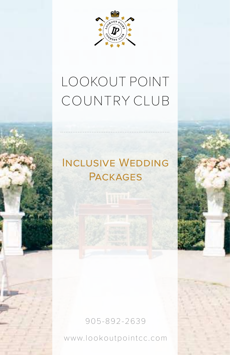

# LOOKOUT POINT COUNTRY CLUB

### Inclusive Wedding **PACKAGES**

### 905-892-2639

www.lookoutpointcc.com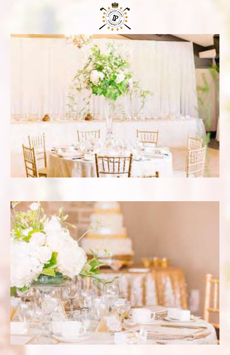



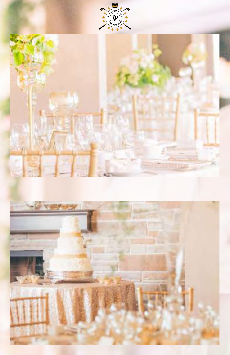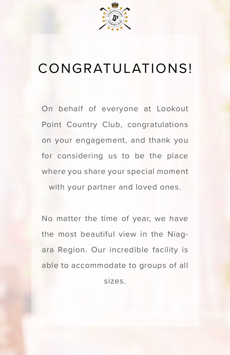

### CONGRATULATIONS!

On behalf of everyone at Lookout Point Country Club, congratulations on your engagement, and thank you for considering us to be the place where you share your special moment with your partner and loved ones.

No matter the time of year, we have the most beautiful view in the Niagara Region. Our incredible facility is able to accommodate to groups of all sizes.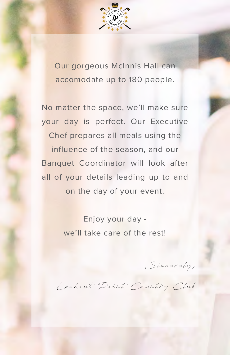

Our gorgeous McInnis Hall can accomodate up to 180 people.

No matter the space, we'll make sure your day is perfect. Our Executive

Chef prepares all meals using the influence of the season, and our Banquet Coordinator will look after all of your details leading up to and on the day of your event.

> Enjoy your day we'll take care of the rest!

Lookout Point Country Club

Sincerely,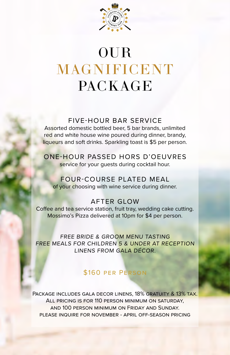

## OUR MAGNIFICENT PACKAGE

#### FIVE-HOUR BAR SERVICE

Assorted domestic bottled beer, 5 bar brands, unlimited red and white house wine poured during dinner, brandy, liqueurs and soft drinks. Sparkling toast is \$5 per person.

ONE-HOUR PASSED HORS D'OEUVRES service for your quests during cocktail hour.

#### FOUR-COURSE PLATED MEAL

of your choosing with wine service during dinner.

#### AFTER GLOW

Coffee and tea service station, fruit tray, wedding cake cutting. Mossimo's Pizza delivered at 10pm for \$4 per person.

FREE BRIDE & GROOM MENU TASTING FREE MEALS FOR CHILDREN 5 & UNDER AT RECEPTION LINENS FROM GALA DÉCOR.

#### \$160 per Person

PACKAGE INCLUDES GALA DECOR LINENS, 18% GRATUITY & 13% TAX. All pricing is for 110 person minimum on saturday, and 100 person minimum on Friday and Sunday. please inquire for november - april off-season pricing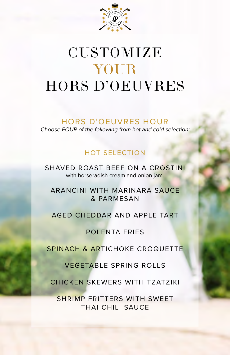

## **CUSTOMIZE** YOUR HORS D'OEUVRES

HORS D'OEUVRES HOUR Choose FOUR of the following from hot and cold selection:

#### HOT SELECTION

SHAVED ROAST BEEF ON A CROSTINI with horseradish cream and onion jam.

ARANCINI WITH MARINARA SAUCE & PARMESAN

AGED CHEDDAR AND APPLE TART

#### POLENTA FRIES

SPINACH & ARTICHOKE CROQUETTE

VEGETABLE SPRING ROLLS

CHICKEN SKEWERS WITH TZATZIKI

SHRIMP FRITTERS WITH SWEET THAI CHILI SAUCE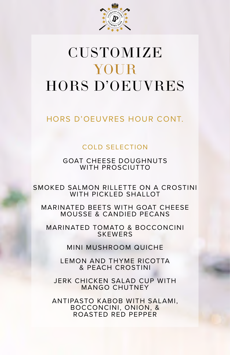

## **CUSTOMIZE** YOUR HORS D'OEUVRES

HORS D'OEUVRES HOUR CONT.

#### COLD SELECTION

GOAT CHEESE DOUGHNUTS WITH PROSCIUTTO

SMOKED SALMON RILLETTE ON A CROSTINI WITH PICKLED SHALLOT

MARINATED BEETS WITH GOAT CHEESE MOUSSE & CANDIED PECANS

MARINATED TOMATO & BOCCONCINI **SKEWERS** 

MINI MUSHROOM QUICHE

LEMON AND THYME RICOTTA & PEACH CROSTINI

JERK CHICKEN SALAD CUP WITH MANGO CHUTNEY

ANTIPASTO KABOB WITH SALAMI, BOCCONCINI, ONION, & ROASTED RED PEPPER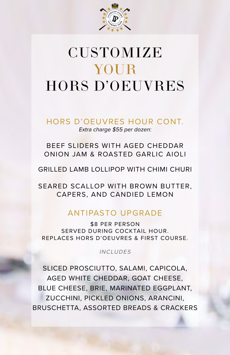

## **CUSTOMIZE** YOUR HORS D'OEUVRES

HORS D'OEUVRES HOUR CONT. Extra charge \$55 per dozen:

BEEF SLIDERS WITH AGED CHEDDAR ONION JAM & ROASTED GARLIC AIOLI

GRILLED LAMB LOLLIPOP WITH CHIMI CHURI

SEARED SCALLOP WITH BROWN BUTTER, CAPERS, AND CANDIED LEMON

### ANTIPASTO UPGRADE

\$8 PER PERSON SERVED DURING COCKTAIL HOUR. REPLACES HORS D'OEUVRES & FIRST COURSE.

INCLUDES

SLICED PROSCIUTTO, SALAMI, CAPICOLA, AGED WHITE CHEDDAR, GOAT CHEESE, BLUE CHEESE, BRIE, MARINATED EGGPLANT, ZUCCHINI, PICKLED ONIONS, ARANCINI, BRUSCHETTA, ASSORTED BREADS & CRACKERS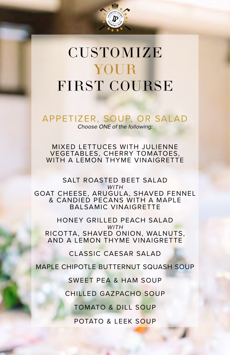

## **CUSTOMIZE** YOUR FIRST COURSE

#### APPETIZER, SOUP, OR SALAD Choose ONE of the following:

MIXED LETTUCES WITH JULIENNE VEGETABLES, CHERRY TOMATOES, WITH A LEMON THYME VINAIGRETTE

SALT ROASTED BEET SALAD WITH GOAT CHEESE, ARUGULA, SHAVED FENNEL & CANDIED PECANS WITH A MAPLE BALSAMIC VINAIGRETTE

HONEY GRILLED PEACH SALAD WITH RICOTTA, SHAVED ONION, WALNUTS, AND A LEMON THYME VINAIGRETTE

CLASSIC CAESAR SALAD

MAPLE CHIPOTLE BUTTERNUT SQUASH SOUP

SWEET PEA & HAM SOUP

CHILLED GAZPACHO SOUP

TOMATO & DILL SOUP

POTATO & LEEK SOUP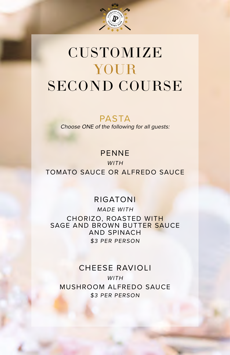

## **CUSTOMIZE** YOUR SECOND COURSE

### PASTA

Choose ONE of the following for all guests:

### PENNE

WITH TOMATO SAUCE OR ALFREDO SAUCE

### RIGATONI

MADE WITH CHORIZO, ROASTED WITH SAGE AND BROWN BUTTER SAUCE AND SPINACH \$3 PER PERSON

### CHEESE RAVIOLI WITH MUSHROOM ALFREDO SAUCE \$3 PER PERSON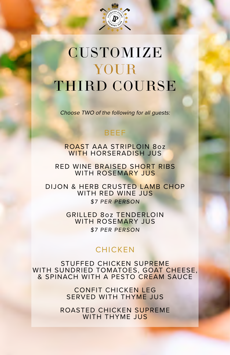

## **CUSTOMIZE** YOUR THIRD COURSE

Choose TWO of the following for all guests:

#### BEEF

ROAST AAA STRIPLOIN 8oz WITH HORSERADISH JUS

RED WINE BRAISED SHORT RIBS WITH ROSEMARY JUS

DIJON & HERB CRUSTED LAMB CHOP WITH RED WINE JUS \$7 PER PERSON

> GRILLED 8oz TENDERLOIN WITH ROSEMARY JUS \$7 PER PERSON

### **CHICKEN**

STUFFED CHICKEN SUPREME WITH SUNDRIED TOMATOES, GOAT CHEESE, & SPINACH WITH A PESTO CREAM SAUCE

> CONFIT CHICKEN LEG SERVED WITH THYME JUS

ROASTED CHICKEN SUPREME WITH THYME JUS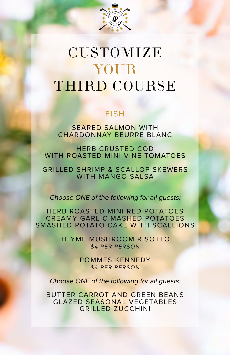

## **CUSTOMIZE** YOUR THIRD COURSE

#### FISH

SEARED SALMON WITH CHARDONNAY BEURRE BLANC

HERB CRUSTED COD WITH ROASTED MINI VINE TOMATOES

GRILLED SHRIMP & SCALLOP SKEWERS WITH MANGO SALSA

Choose ONE of the following for all guests:

HERB ROASTED MINI RED POTATOES CREAMY GARLIC MASHED POTATOES SMASHED POTATO CAKE WITH SCALLIONS

> THYME MUSHROOM RISOTTO \$4 PER PERSON

> > POMMES KENNEDY \$4 PER PERSON

Choose ONE of the following for all guests:

BUTTER CARROT AND GREEN BEANS GLAZED SEASONAL VEGETABLES GRILLED ZUCCHINI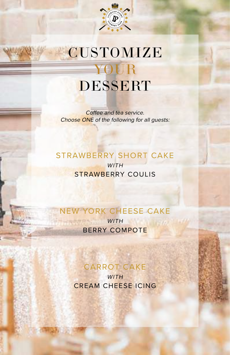

## **CUSTOMIZE** YOUR DESSERT

Coffee and tea service. Choose ONE of the following for all guests:

### STRAWBERRY SHORT CAKE WITH STRAWBERRY COULIS

### NEW YORK CHEESE CAKE

WITH BERRY COMPOTE

### CARROT CAKE

WITH CREAM CHEESE ICING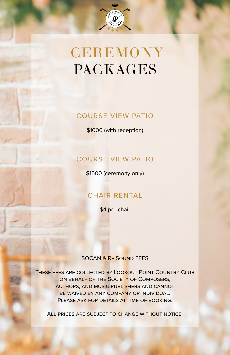

## **CEREMONY** PACKAGES

#### COURSE VIEW PATIO

\$1000 (with reception)

#### COURSE VIEW PATIO

\$1500 (ceremony only)

#### CHAIR RENTAL

\$4 per chair

#### SOCAN & Re:Sound FEES

THESE FEES ARE COLLECTED BY LOOKOUT POINT COUNTRY CLUB ON BEHALF OF THE SOCIETY OF COMPOSERS, authors, and music publishers and cannot BE WAIVED BY ANY COMPANY OR INDIVIDUAL. PLEASE ASK FOR DETAILS AT TIME OF BOOKING.

All prices are subject to change without notice.